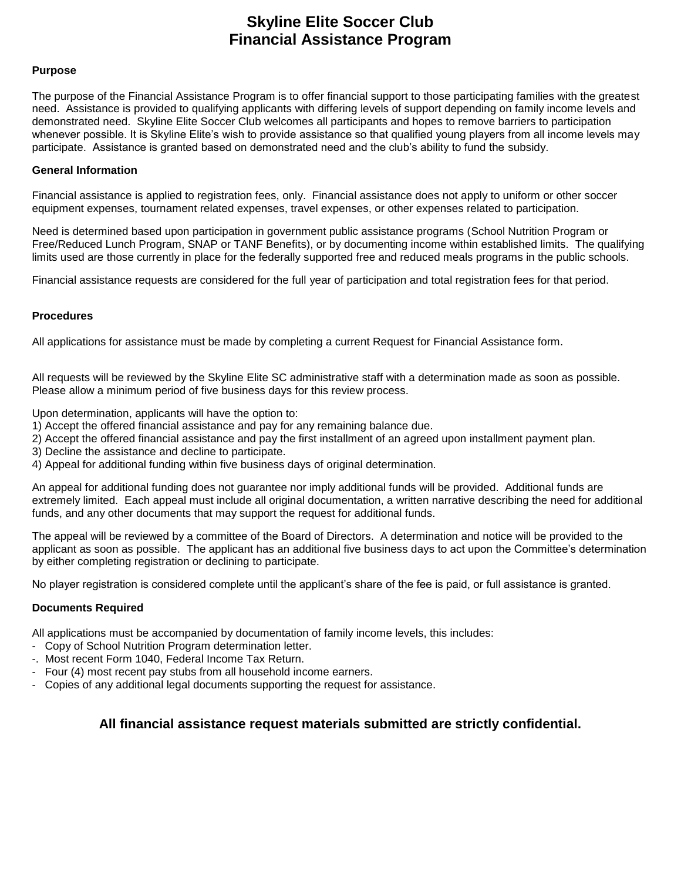## **Skyline Elite Soccer Club Financial Assistance Program**

### **Purpose**

The purpose of the Financial Assistance Program is to offer financial support to those participating families with the greatest need. Assistance is provided to qualifying applicants with differing levels of support depending on family income levels and demonstrated need. Skyline Elite Soccer Club welcomes all participants and hopes to remove barriers to participation whenever possible. It is Skyline Elite's wish to provide assistance so that qualified young players from all income levels may participate. Assistance is granted based on demonstrated need and the club's ability to fund the subsidy.

#### **General Information**

Financial assistance is applied to registration fees, only. Financial assistance does not apply to uniform or other soccer equipment expenses, tournament related expenses, travel expenses, or other expenses related to participation.

Need is determined based upon participation in government public assistance programs (School Nutrition Program or Free/Reduced Lunch Program, SNAP or TANF Benefits), or by documenting income within established limits. The qualifying limits used are those currently in place for the federally supported free and reduced meals programs in the public schools.

Financial assistance requests are considered for the full year of participation and total registration fees for that period.

### **Procedures**

All applications for assistance must be made by completing a current Request for Financial Assistance form.

All requests will be reviewed by the Skyline Elite SC administrative staff with a determination made as soon as possible. Please allow a minimum period of five business days for this review process.

Upon determination, applicants will have the option to:

- 1) Accept the offered financial assistance and pay for any remaining balance due.
- 2) Accept the offered financial assistance and pay the first installment of an agreed upon installment payment plan.
- 3) Decline the assistance and decline to participate.
- 4) Appeal for additional funding within five business days of original determination.

An appeal for additional funding does not guarantee nor imply additional funds will be provided. Additional funds are extremely limited. Each appeal must include all original documentation, a written narrative describing the need for additional funds, and any other documents that may support the request for additional funds.

The appeal will be reviewed by a committee of the Board of Directors. A determination and notice will be provided to the applicant as soon as possible. The applicant has an additional five business days to act upon the Committee's determination by either completing registration or declining to participate.

No player registration is considered complete until the applicant's share of the fee is paid, or full assistance is granted.

### **Documents Required**

All applications must be accompanied by documentation of family income levels, this includes:

- Copy of School Nutrition Program determination letter.
- -. Most recent Form 1040, Federal Income Tax Return.
- Four (4) most recent pay stubs from all household income earners.
- Copies of any additional legal documents supporting the request for assistance.

## **All financial assistance request materials submitted are strictly confidential.**